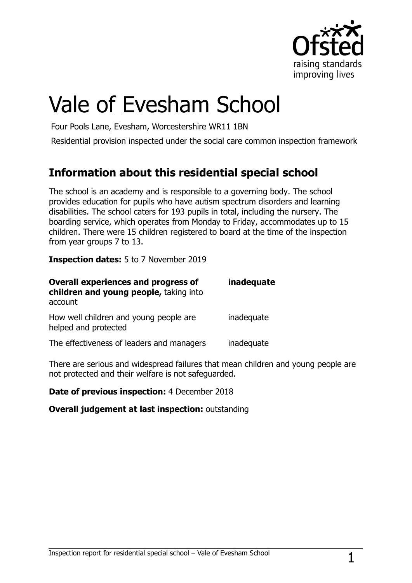

# Vale of Evesham School

Four Pools Lane, Evesham, Worcestershire WR11 1BN

Residential provision inspected under the social care common inspection framework

## **Information about this residential special school**

The school is an academy and is responsible to a governing body. The school provides education for pupils who have autism spectrum disorders and learning disabilities. The school caters for 193 pupils in total, including the nursery. The boarding service, which operates from Monday to Friday, accommodates up to 15 children. There were 15 children registered to board at the time of the inspection from year groups 7 to 13.

**Inspection dates:** 5 to 7 November 2019

| <b>Overall experiences and progress of</b><br>children and young people, taking into<br>account | inadequate |
|-------------------------------------------------------------------------------------------------|------------|
| How well children and young people are<br>helped and protected                                  | inadequate |
| The effectiveness of leaders and managers                                                       | inadequate |

There are serious and widespread failures that mean children and young people are not protected and their welfare is not safeguarded.

**Date of previous inspection:** 4 December 2018

**Overall judgement at last inspection:** outstanding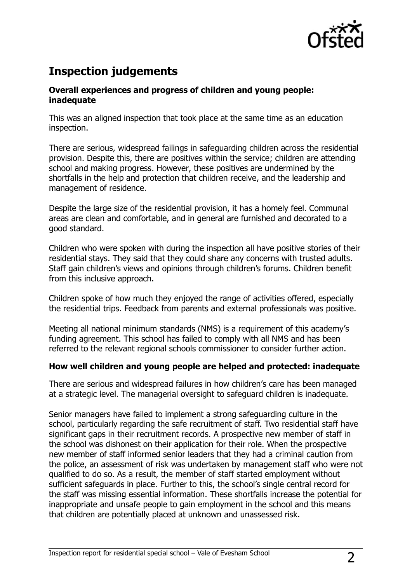

## **Inspection judgements**

#### **Overall experiences and progress of children and young people: inadequate**

This was an aligned inspection that took place at the same time as an education inspection.

There are serious, widespread failings in safeguarding children across the residential provision. Despite this, there are positives within the service; children are attending school and making progress. However, these positives are undermined by the shortfalls in the help and protection that children receive, and the leadership and management of residence.

Despite the large size of the residential provision, it has a homely feel. Communal areas are clean and comfortable, and in general are furnished and decorated to a good standard.

Children who were spoken with during the inspection all have positive stories of their residential stays. They said that they could share any concerns with trusted adults. Staff gain children's views and opinions through children's forums. Children benefit from this inclusive approach.

Children spoke of how much they enjoyed the range of activities offered, especially the residential trips. Feedback from parents and external professionals was positive.

Meeting all national minimum standards (NMS) is a requirement of this academy's funding agreement. This school has failed to comply with all NMS and has been referred to the relevant regional schools commissioner to consider further action.

#### **How well children and young people are helped and protected: inadequate**

There are serious and widespread failures in how children's care has been managed at a strategic level. The managerial oversight to safeguard children is inadequate.

Senior managers have failed to implement a strong safeguarding culture in the school, particularly regarding the safe recruitment of staff. Two residential staff have significant gaps in their recruitment records. A prospective new member of staff in the school was dishonest on their application for their role. When the prospective new member of staff informed senior leaders that they had a criminal caution from the police, an assessment of risk was undertaken by management staff who were not qualified to do so. As a result, the member of staff started employment without sufficient safeguards in place. Further to this, the school's single central record for the staff was missing essential information. These shortfalls increase the potential for inappropriate and unsafe people to gain employment in the school and this means that children are potentially placed at unknown and unassessed risk.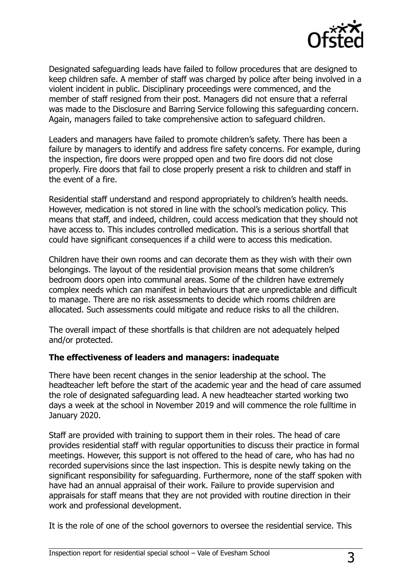

Designated safeguarding leads have failed to follow procedures that are designed to keep children safe. A member of staff was charged by police after being involved in a violent incident in public. Disciplinary proceedings were commenced, and the member of staff resigned from their post. Managers did not ensure that a referral was made to the Disclosure and Barring Service following this safeguarding concern. Again, managers failed to take comprehensive action to safeguard children.

Leaders and managers have failed to promote children's safety. There has been a failure by managers to identify and address fire safety concerns. For example, during the inspection, fire doors were propped open and two fire doors did not close properly. Fire doors that fail to close properly present a risk to children and staff in the event of a fire.

Residential staff understand and respond appropriately to children's health needs. However, medication is not stored in line with the school's medication policy. This means that staff, and indeed, children, could access medication that they should not have access to. This includes controlled medication. This is a serious shortfall that could have significant consequences if a child were to access this medication.

Children have their own rooms and can decorate them as they wish with their own belongings. The layout of the residential provision means that some children's bedroom doors open into communal areas. Some of the children have extremely complex needs which can manifest in behaviours that are unpredictable and difficult to manage. There are no risk assessments to decide which rooms children are allocated. Such assessments could mitigate and reduce risks to all the children.

The overall impact of these shortfalls is that children are not adequately helped and/or protected.

#### **The effectiveness of leaders and managers: inadequate**

There have been recent changes in the senior leadership at the school. The headteacher left before the start of the academic year and the head of care assumed the role of designated safeguarding lead. A new headteacher started working two days a week at the school in November 2019 and will commence the role fulltime in January 2020.

Staff are provided with training to support them in their roles. The head of care provides residential staff with regular opportunities to discuss their practice in formal meetings. However, this support is not offered to the head of care, who has had no recorded supervisions since the last inspection. This is despite newly taking on the significant responsibility for safeguarding. Furthermore, none of the staff spoken with have had an annual appraisal of their work. Failure to provide supervision and appraisals for staff means that they are not provided with routine direction in their work and professional development.

It is the role of one of the school governors to oversee the residential service. This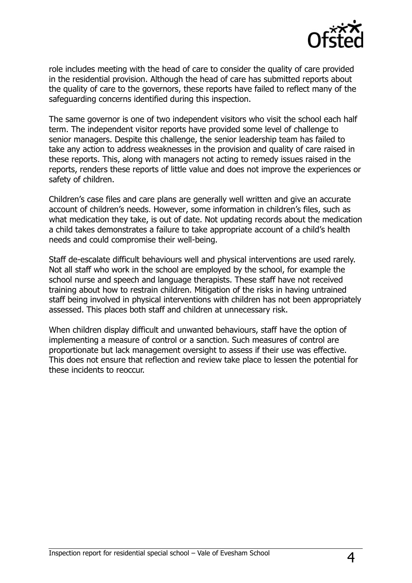

role includes meeting with the head of care to consider the quality of care provided in the residential provision. Although the head of care has submitted reports about the quality of care to the governors, these reports have failed to reflect many of the safeguarding concerns identified during this inspection.

The same governor is one of two independent visitors who visit the school each half term. The independent visitor reports have provided some level of challenge to senior managers. Despite this challenge, the senior leadership team has failed to take any action to address weaknesses in the provision and quality of care raised in these reports. This, along with managers not acting to remedy issues raised in the reports, renders these reports of little value and does not improve the experiences or safety of children.

Children's case files and care plans are generally well written and give an accurate account of children's needs. However, some information in children's files, such as what medication they take, is out of date. Not updating records about the medication a child takes demonstrates a failure to take appropriate account of a child's health needs and could compromise their well-being.

Staff de-escalate difficult behaviours well and physical interventions are used rarely. Not all staff who work in the school are employed by the school, for example the school nurse and speech and language therapists. These staff have not received training about how to restrain children. Mitigation of the risks in having untrained staff being involved in physical interventions with children has not been appropriately assessed. This places both staff and children at unnecessary risk.

When children display difficult and unwanted behaviours, staff have the option of implementing a measure of control or a sanction. Such measures of control are proportionate but lack management oversight to assess if their use was effective. This does not ensure that reflection and review take place to lessen the potential for these incidents to reoccur.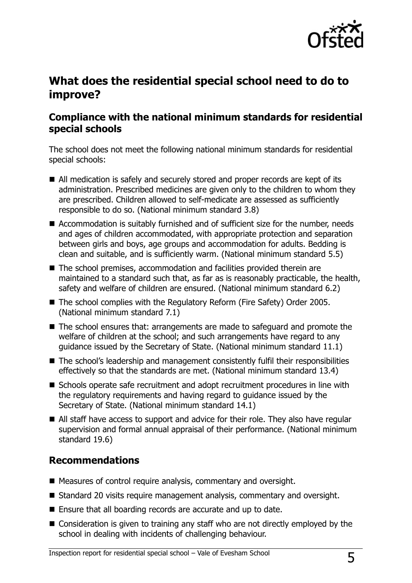

## **What does the residential special school need to do to improve?**

#### **Compliance with the national minimum standards for residential special schools**

The school does not meet the following national minimum standards for residential special schools:

- All medication is safely and securely stored and proper records are kept of its administration. Prescribed medicines are given only to the children to whom they are prescribed. Children allowed to self-medicate are assessed as sufficiently responsible to do so. (National minimum standard 3.8)
- Accommodation is suitably furnished and of sufficient size for the number, needs and ages of children accommodated, with appropriate protection and separation between girls and boys, age groups and accommodation for adults. Bedding is clean and suitable, and is sufficiently warm. (National minimum standard 5.5)
- The school premises, accommodation and facilities provided therein are maintained to a standard such that, as far as is reasonably practicable, the health, safety and welfare of children are ensured. (National minimum standard 6.2)
- The school complies with the Regulatory Reform (Fire Safety) Order 2005. (National minimum standard 7.1)
- The school ensures that: arrangements are made to safeguard and promote the welfare of children at the school; and such arrangements have regard to any guidance issued by the Secretary of State. (National minimum standard 11.1)
- The school's leadership and management consistently fulfil their responsibilities effectively so that the standards are met. (National minimum standard 13.4)
- Schools operate safe recruitment and adopt recruitment procedures in line with the regulatory requirements and having regard to guidance issued by the Secretary of State. (National minimum standard 14.1)
- All staff have access to support and advice for their role. They also have regular supervision and formal annual appraisal of their performance. (National minimum standard 19.6)

#### **Recommendations**

- Measures of control require analysis, commentary and oversight.
- Standard 20 visits require management analysis, commentary and oversight.
- Ensure that all boarding records are accurate and up to date.
- Consideration is given to training any staff who are not directly employed by the school in dealing with incidents of challenging behaviour.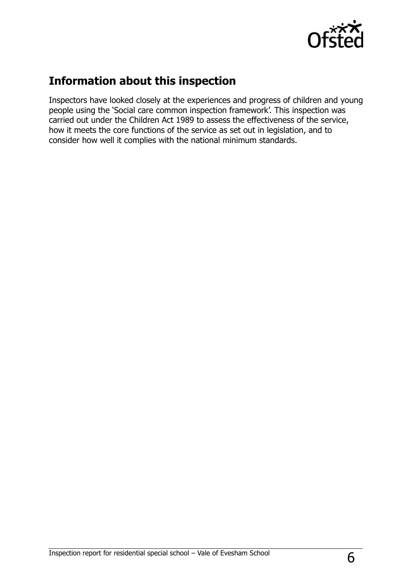

## **Information about this inspection**

Inspectors have looked closely at the experiences and progress of children and young people using the 'Social care common inspection framework'. This inspection was carried out under the Children Act 1989 to assess the effectiveness of the service, how it meets the core functions of the service as set out in legislation, and to consider how well it complies with the national minimum standards.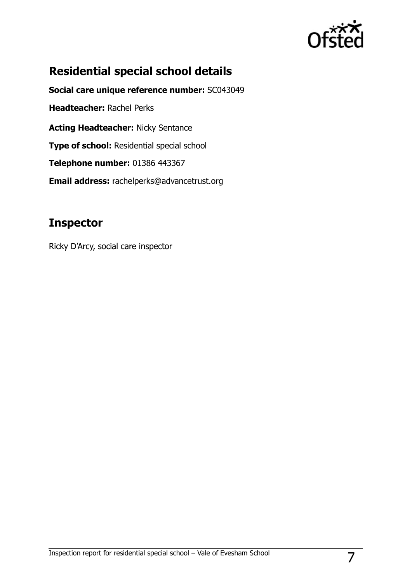

# **Residential special school details**

**Social care unique reference number:** SC043049 **Headteacher:** Rachel Perks **Acting Headteacher:** Nicky Sentance **Type of school:** Residential special school **Telephone number:** 01386 443367 **Email address:** rachelperks@advancetrust.org

#### **Inspector**

Ricky D'Arcy, social care inspector